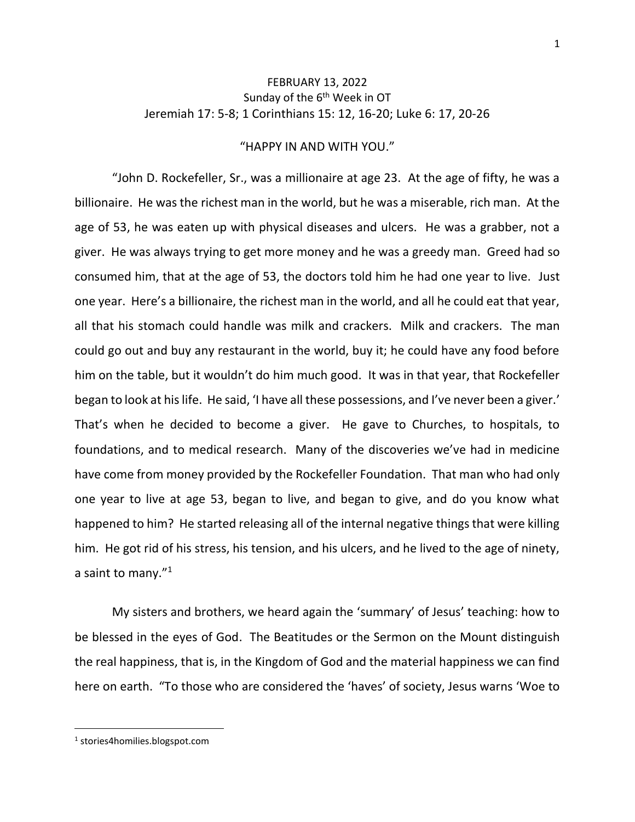## FEBRUARY 13, 2022 Sunday of the 6<sup>th</sup> Week in OT Jeremiah 17: 5-8; 1 Corinthians 15: 12, 16-20; Luke 6: 17, 20-26

## "HAPPY IN AND WITH YOU."

"John D. Rockefeller, Sr., was a millionaire at age 23. At the age of fifty, he was a billionaire. He was the richest man in the world, but he was a miserable, rich man. At the age of 53, he was eaten up with physical diseases and ulcers. He was a grabber, not a giver. He was always trying to get more money and he was a greedy man. Greed had so consumed him, that at the age of 53, the doctors told him he had one year to live. Just one year. Here's a billionaire, the richest man in the world, and all he could eat that year, all that his stomach could handle was milk and crackers. Milk and crackers. The man could go out and buy any restaurant in the world, buy it; he could have any food before him on the table, but it wouldn't do him much good. It was in that year, that Rockefeller began to look at his life. He said, 'I have all these possessions, and I've never been a giver.' That's when he decided to become a giver. He gave to Churches, to hospitals, to foundations, and to medical research. Many of the discoveries we've had in medicine have come from money provided by the Rockefeller Foundation. That man who had only one year to live at age 53, began to live, and began to give, and do you know what happened to him? He started releasing all of the internal negative things that were killing him. He got rid of his stress, his tension, and his ulcers, and he lived to the age of ninety, a saint to many."<sup>1</sup>

My sisters and brothers, we heard again the 'summary' of Jesus' teaching: how to be blessed in the eyes of God. The Beatitudes or the Sermon on the Mount distinguish the real happiness, that is, in the Kingdom of God and the material happiness we can find here on earth. "To those who are considered the 'haves' of society, Jesus warns 'Woe to

<sup>1</sup> stories4homilies.blogspot.com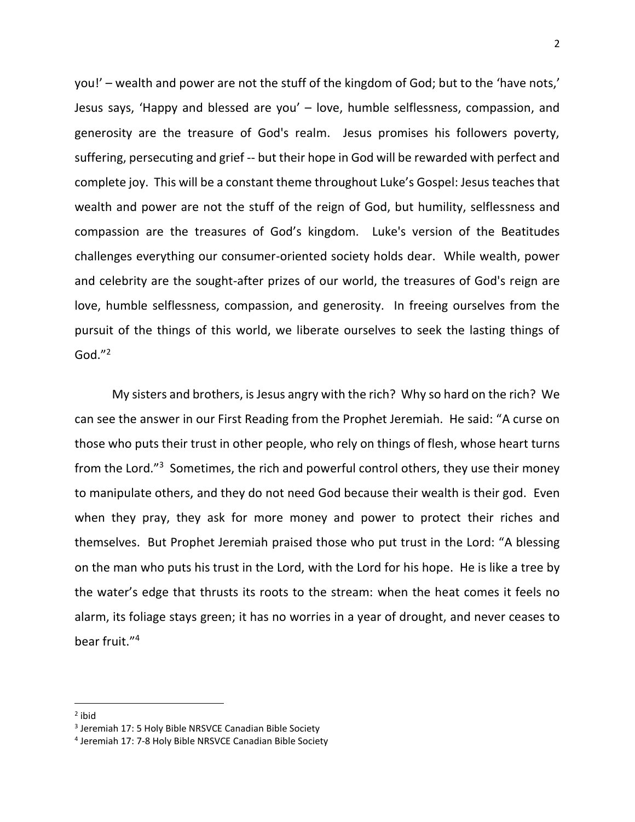you!' – wealth and power are not the stuff of the kingdom of God; but to the 'have nots,' Jesus says, 'Happy and blessed are you' – love, humble selflessness, compassion, and generosity are the treasure of God's realm. Jesus promises his followers poverty, suffering, persecuting and grief -- but their hope in God will be rewarded with perfect and complete joy. This will be a constant theme throughout Luke's Gospel: Jesus teaches that wealth and power are not the stuff of the reign of God, but humility, selflessness and compassion are the treasures of God's kingdom. Luke's version of the Beatitudes challenges everything our consumer-oriented society holds dear. While wealth, power and celebrity are the sought-after prizes of our world, the treasures of God's reign are love, humble selflessness, compassion, and generosity. In freeing ourselves from the pursuit of the things of this world, we liberate ourselves to seek the lasting things of God." 2

My sisters and brothers, is Jesus angry with the rich? Why so hard on the rich? We can see the answer in our First Reading from the Prophet Jeremiah. He said: "A curse on those who puts their trust in other people, who rely on things of flesh, whose heart turns from the Lord."<sup>3</sup> Sometimes, the rich and powerful control others, they use their money to manipulate others, and they do not need God because their wealth is their god. Even when they pray, they ask for more money and power to protect their riches and themselves. But Prophet Jeremiah praised those who put trust in the Lord: "A blessing on the man who puts his trust in the Lord, with the Lord for his hope. He is like a tree by the water's edge that thrusts its roots to the stream: when the heat comes it feels no alarm, its foliage stays green; it has no worries in a year of drought, and never ceases to bear fruit." 4

<sup>&</sup>lt;sup>2</sup> ibid

<sup>&</sup>lt;sup>3</sup> Jeremiah 17: 5 Holy Bible NRSVCE Canadian Bible Society

<sup>4</sup> Jeremiah 17: 7-8 Holy Bible NRSVCE Canadian Bible Society